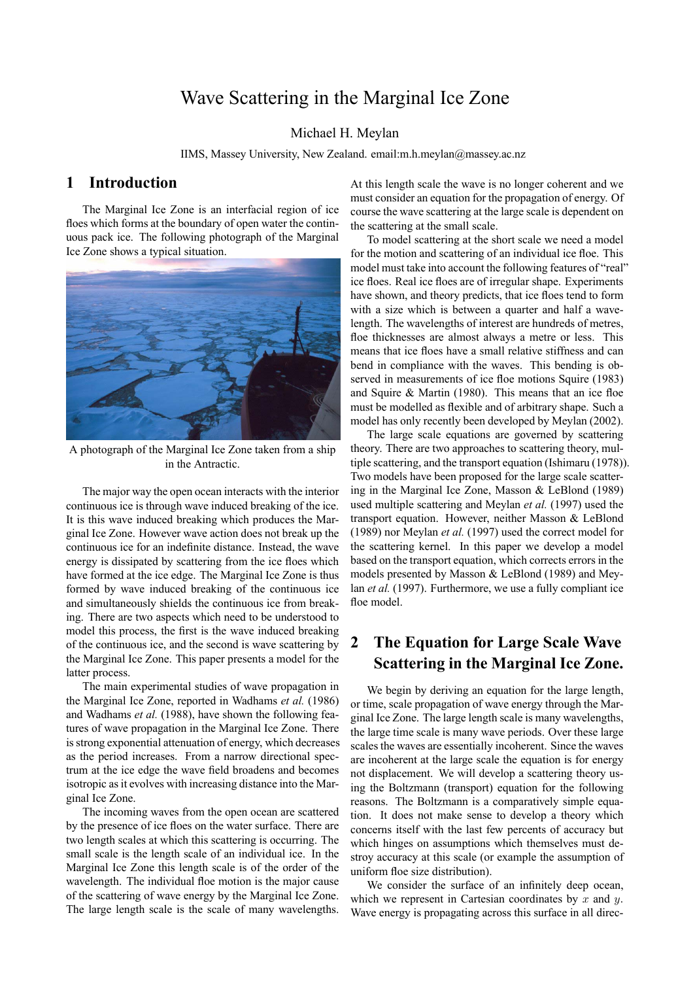# Wave Scattering in the Marginal Ice Zone

#### Michael H. Meylan

IIMS, Massey University, New Zealand. email:m.h.meylan@massey.ac.nz

### **1 Introduction**

The Marginal Ice Zone is an interfacial region of ice floes which forms at the boundary of open water the continuous pack ice. The following photograph of the Marginal Ice Zone shows a typical situation.



A photograph of the Marginal Ice Zone taken from a ship in the Antractic.

The major way the open ocean interacts with the interior continuous ice is through wave induced breaking of the ice. It is this wave induced breaking which produces the Marginal Ice Zone. However wave action does not break up the continuous ice for an indefinite distance. Instead, the wave energy is dissipated by scattering from the ice floes which have formed at the ice edge. The Marginal Ice Zone is thus formed by wave induced breaking of the continuous ice and simultaneously shields the continuous ice from breaking. There are two aspects which need to be understood to model this process, the first is the wave induced breaking of the continuous ice, and the second is wave scattering by the Marginal Ice Zone. This paper presents a model for the latter process.

The main experimental studies of wave propagation in the Marginal Ice Zone, reported in Wadhams *et al.* (1986) and Wadhams *et al.* (1988), have shown the following features of wave propagation in the Marginal Ice Zone. There is strong exponential attenuation of energy, which decreases as the period increases. From a narrow directional spectrum at the ice edge the wave field broadens and becomes isotropic as it evolves with increasing distance into the Marginal Ice Zone.

The incoming waves from the open ocean are scattered by the presence of ice floes on the water surface. There are two length scales at which this scattering is occurring. The small scale is the length scale of an individual ice. In the Marginal Ice Zone this length scale is of the order of the wavelength. The individual floe motion is the major cause of the scattering of wave energy by the Marginal Ice Zone. The large length scale is the scale of many wavelengths. At this length scale the wave is no longer coherent and we must consider an equation for the propagation of energy. Of course the wave scattering at the large scale is dependent on the scattering at the small scale.

To model scattering at the short scale we need a model for the motion and scattering of an individual ice floe. This model must take into account the following features of "real" ice floes. Real ice floes are of irregular shape. Experiments have shown, and theory predicts, that ice floes tend to form with a size which is between a quarter and half a wavelength. The wavelengths of interest are hundreds of metres, floe thicknesses are almost always a metre or less. This means that ice floes have a small relative stiffness and can bend in compliance with the waves. This bending is observed in measurements of ice floe motions Squire (1983) and Squire & Martin (1980). This means that an ice floe must be modelled as flexible and of arbitrary shape. Such a model has only recently been developed by Meylan (2002).

The large scale equations are governed by scattering theory. There are two approaches to scattering theory, multiple scattering, and the transport equation (Ishimaru (1978)). Two models have been proposed for the large scale scattering in the Marginal Ice Zone, Masson & LeBlond (1989) used multiple scattering and Meylan *et al.* (1997) used the transport equation. However, neither Masson & LeBlond (1989) nor Meylan *et al.* (1997) used the correct model for the scattering kernel. In this paper we develop a model based on the transport equation, which corrects errors in the models presented by Masson & LeBlond (1989) and Meylan *et al.* (1997). Furthermore, we use a fully compliant ice floe model

# **2 The Equation for Large Scale Wave Scattering in the Marginal Ice Zone.**

We begin by deriving an equation for the large length, or time, scale propagation of wave energy through the Marginal Ice Zone. The large length scale is many wavelengths, the large time scale is many wave periods. Over these large scales the waves are essentially incoherent. Since the waves are incoherent at the large scale the equation is for energy not displacement. We will develop a scattering theory using the Boltzmann (transport) equation for the following reasons. The Boltzmann is a comparatively simple equation. It does not make sense to develop a theory which concerns itself with the last few percents of accuracy but which hinges on assumptions which themselves must destroy accuracy at this scale (or example the assumption of uniform floe size distribution).

We consider the surface of an infinitely deep ocean, which we represent in Cartesian coordinates by  $x$  and  $y$ . Wave energy is propagating across this surface in all direc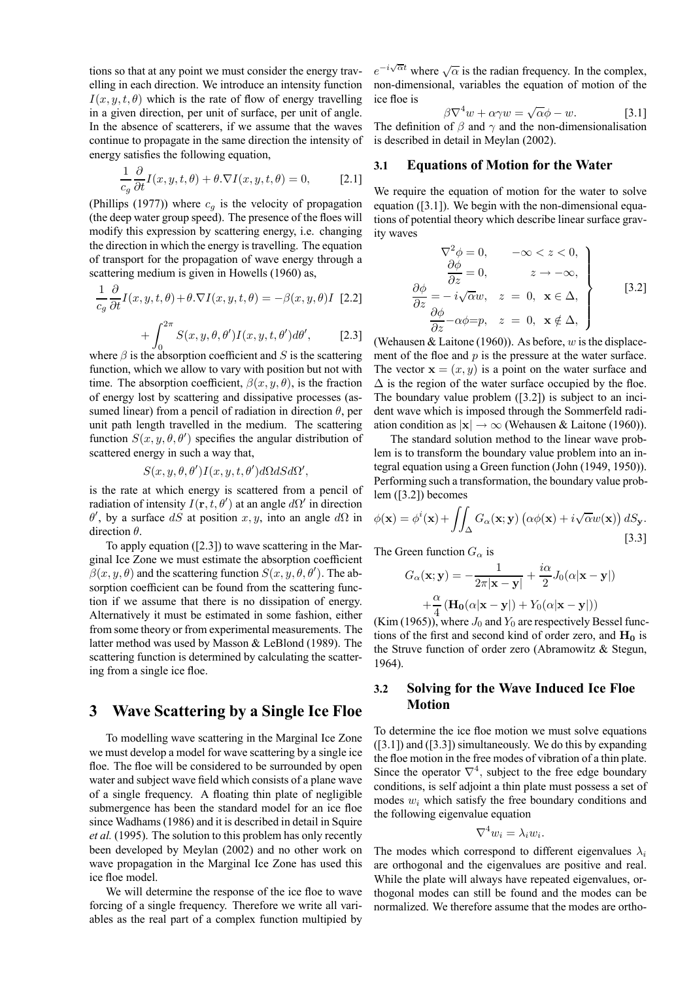tions so that at any point we must consider the energy travelling in each direction. We introduce an intensity function  $I(x, y, t, \theta)$  which is the rate of flow of energy travelling in a given direction, per unit of surface, per unit of angle. In the absence of scatterers, if we assume that the waves continue to propagate in the same direction the intensity of energy satisfies the following equation,

$$
\frac{1}{c_g} \frac{\partial}{\partial t} I(x, y, t, \theta) + \theta . \nabla I(x, y, t, \theta) = 0, \quad [2.1]
$$

(Phillips (1977)) where  $c<sub>g</sub>$  is the velocity of propagation (the deep water group speed). The presence of the floes will modify this expression by scattering energy, i.e. changing the direction in which the energy is travelling. The equation of transport for the propagation of wave energy through a scattering medium is given in Howells (1960) as,

$$
\frac{1}{c_g} \frac{\partial}{\partial t} I(x, y, t, \theta) + \theta \cdot \nabla I(x, y, t, \theta) = -\beta(x, y, \theta) I \quad [2.2]
$$

$$
+ \int_{0}^{2\pi} S(x, y, \theta, \theta') I(x, y, t, \theta') d\theta', \qquad [2.3]
$$

where  $\beta$  is the absorption coefficient and S is the scattering function, which we allow to vary with position but not with time. The absorption coefficient,  $\beta(x, y, \theta)$ , is the fraction of energy lost by scattering and dissipative processes (assumed linear) from a pencil of radiation in direction  $\theta$ , per unit path length travelled in the medium. The scattering function  $S(x, y, \theta, \theta')$  specifies the angular distribution of scattered energy in such a way that,

$$
S(x, y, \theta, \theta')I(x, y, t, \theta')d\Omega dS d\Omega',
$$

is the rate at which energy is scattered from a pencil of radiation of intensity  $I(\mathbf{r}, t, \theta')$  at an angle  $d\Omega'$  in direction  $\theta'$ , by a surface dS at position x, y, into an angle d $\Omega$  in direction  $\theta$ .

To apply equation ([2.3]) to wave scattering in the Marginal Ice Zone we must estimate the absorption coefficient  $\beta(x, y, \theta)$  and the scattering function  $S(x, y, \theta, \theta')$ . The absorption coefficient can be found from the scattering function if we assume that there is no dissipation of energy. Alternatively it must be estimated in some fashion, either from some theory or from experimental measurements. The latter method was used by Masson & LeBlond (1989). The scattering function is determined by calculating the scattering from a single ice floe.

## **3 Wave Scattering by a Single Ice Floe**

To modelling wave scattering in the Marginal Ice Zone we must develop a model for wave scattering by a single ice floe. The floe will be considered to be surrounded by open water and subject wave field which consists of a plane wave of a single frequency. A floating thin plate of negligible submergence has been the standard model for an ice floe since Wadhams (1986) and it is described in detail in Squire *et al.* (1995). The solution to this problem has only recently been developed by Meylan (2002) and no other work on wave propagation in the Marginal Ice Zone has used this ice floe model.

We will determine the response of the ice floe to wave forcing of a single frequency. Therefore we write all variables as the real part of a complex function multipied by

 $e^{-i\sqrt{\alpha}t}$  where  $\sqrt{\alpha}$  is the radian frequency. In the complex, non-dimensional, variables the equation of motion of the ice floe is

$$
\beta \nabla^4 w + \alpha \gamma w = \sqrt{\alpha} \phi - w. \tag{3.1}
$$

The definition of  $\beta$  and  $\gamma$  and the non-dimensionalisation is described in detail in Meylan (2002).

#### **3.1 Equations of Motion for the Water**

We require the equation of motion for the water to solve equation ([3.1]). We begin with the non-dimensional equations of potential theory which describe linear surface gravity waves

$$
\nabla^2 \phi = 0, \quad -\infty < z < 0, \n\frac{\partial \phi}{\partial z} = 0, \quad z \to -\infty, \n\frac{\partial \phi}{\partial z} = -i\sqrt{\alpha}w, \quad z = 0, \quad \mathbf{x} \in \Delta, \n\frac{\partial \phi}{\partial z} - \alpha \phi = p, \quad z = 0, \quad \mathbf{x} \notin \Delta,
$$
\n
$$
(3.2)
$$

(Wehausen & Laitone (1960)). As before,  $w$  is the displacement of the floe and  $p$  is the pressure at the water surface. The vector  $\mathbf{x} = (x, y)$  is a point on the water surface and  $\Delta$  is the region of the water surface occupied by the floe. The boundary value problem ([3.2]) is subject to an incident wave which is imposed through the Sommerfeld radiation condition as  $|x| \to \infty$  (Wehausen & Laitone (1960)).

The standard solution method to the linear wave problem is to transform the boundary value problem into an integral equation using a Green function (John (1949, 1950)). Performing such a transformation, the boundary value problem ([3.2]) becomes

$$
\phi(\mathbf{x}) = \phi^{i}(\mathbf{x}) + \iint_{\Delta} G_{\alpha}(\mathbf{x}; \mathbf{y}) \left( \alpha \phi(\mathbf{x}) + i \sqrt{\alpha} w(\mathbf{x}) \right) dS_{\mathbf{y}}.
$$
\n[3.3]

The Green function  $G_{\alpha}$  is

$$
G_{\alpha}(\mathbf{x}; \mathbf{y}) = -\frac{1}{2\pi|\mathbf{x} - \mathbf{y}|} + \frac{i\alpha}{2} J_0(\alpha|\mathbf{x} - \mathbf{y}|)
$$

$$
+ \frac{\alpha}{4} \left( \mathbf{H_0}(\alpha|\mathbf{x} - \mathbf{y}|) + Y_0(\alpha|\mathbf{x} - \mathbf{y}|) \right)
$$

(Kim (1965)), where  $J_0$  and  $Y_0$  are respectively Bessel functions of the first and second kind of order zero, and  $H_0$  is the Struve function of order zero (Abramowitz & Stegun, 1964).

### **3.2 Solving for the Wave Induced Ice Floe Motion**

To determine the ice floe motion we must solve equations ([3.1]) and ([3.3]) simultaneously. We do this by expanding the floe motion in the free modes of vibration of a thin plate. Since the operator  $\nabla^4$ , subject to the free edge boundary conditions, is self adjoint a thin plate must possess a set of modes  $w_i$  which satisfy the free boundary conditions and the following eigenvalue equation

$$
\nabla^4 w_i = \lambda_i w_i.
$$

The modes which correspond to different eigenvalues  $\lambda_i$ are orthogonal and the eigenvalues are positive and real. While the plate will always have repeated eigenvalues, orthogonal modes can still be found and the modes can be normalized. We therefore assume that the modes are ortho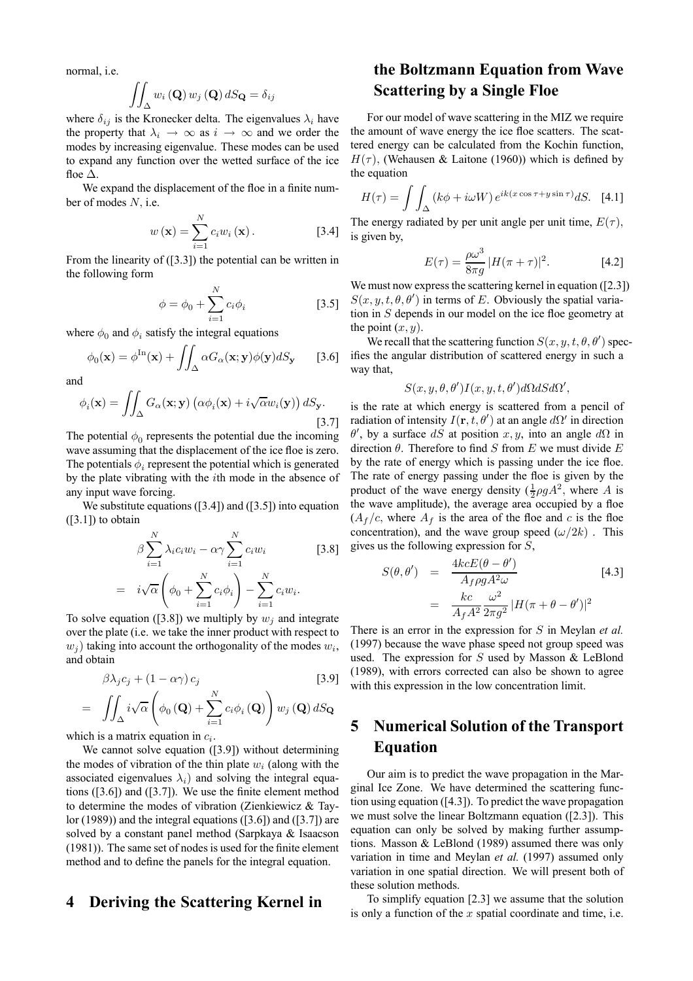normal, i.e.

$$
\iint_{\Delta} w_i\left(\mathbf{Q}\right) w_j\left(\mathbf{Q}\right) dS_{\mathbf{Q}} = \delta_{ij}
$$

where  $\delta_{ij}$  is the Kronecker delta. The eigenvalues  $\lambda_i$  have the property that  $\lambda_i \rightarrow \infty$  as  $i \rightarrow \infty$  and we order the modes by increasing eigenvalue. These modes can be used to expand any function over the wetted surface of the ice floe  $\Delta$ .

We expand the displacement of the floe in a finite number of modes N, i.e.

$$
w\left(\mathbf{x}\right) = \sum_{i=1}^{N} c_i w_i\left(\mathbf{x}\right). \tag{3.4}
$$

From the linearity of ([3.3]) the potential can be written in the following form

$$
\phi = \phi_0 + \sum_{i=1}^{N} c_i \phi_i \tag{3.5}
$$

where  $\phi_0$  and  $\phi_i$  satisfy the integral equations

$$
\phi_0(\mathbf{x}) = \phi^{\text{In}}(\mathbf{x}) + \iint_{\Delta} \alpha G_{\alpha}(\mathbf{x}; \mathbf{y}) \phi(\mathbf{y}) dS_{\mathbf{y}} \qquad [3.6]
$$

and

$$
\phi_i(\mathbf{x}) = \iint_{\Delta} G_{\alpha}(\mathbf{x}; \mathbf{y}) \left( \alpha \phi_i(\mathbf{x}) + i \sqrt{\alpha} w_i(\mathbf{y}) \right) dS_{\mathbf{y}}.
$$
\n[3.7]

The potential  $\phi_0$  represents the potential due the incoming wave assuming that the displacement of the ice floe is zero. The potentials  $\phi_i$  represent the potential which is generated by the plate vibrating with the ith mode in the absence of any input wave forcing.

We substitute equations  $(3.4)$  and  $(3.5)$  into equation  $([3.1])$  to obtain

$$
\beta \sum_{i=1}^{N} \lambda_i c_i w_i - \alpha \gamma \sum_{i=1}^{N} c_i w_i
$$
 [3.8]  
=  $i \sqrt{\alpha} \left( \phi_0 + \sum_{i=1}^{N} c_i \phi_i \right) - \sum_{i=1}^{N} c_i w_i.$ 

To solve equation ([3.8]) we multiply by  $w_i$  and integrate over the plate (i.e. we take the inner product with respect to  $w_i$ ) taking into account the orthogonality of the modes  $w_i$ , and obtain

$$
\beta \lambda_j c_j + (1 - \alpha \gamma) c_j
$$
\n
$$
= \iint_{\Delta} i \sqrt{\alpha} \left( \phi_0 \left( \mathbf{Q} \right) + \sum_{i=1}^N c_i \phi_i \left( \mathbf{Q} \right) \right) w_j \left( \mathbf{Q} \right) dS_{\mathbf{Q}}
$$
\n
$$
= \iint_{\Delta} i \sqrt{\alpha} \left( \phi_0 \left( \mathbf{Q} \right) + \sum_{i=1}^N c_i \phi_i \left( \mathbf{Q} \right) \right) w_j \left( \mathbf{Q} \right) dS_{\mathbf{Q}}
$$

which is a matrix equation in  $c_i$ .

We cannot solve equation ([3.9]) without determining the modes of vibration of the thin plate  $w_i$  (along with the associated eigenvalues  $\lambda_i$ ) and solving the integral equations ([3.6]) and ([3.7]). We use the finite element method to determine the modes of vibration (Zienkiewicz & Taylor (1989)) and the integral equations ( $[3.6]$ ) and ( $[3.7]$ ) are solved by a constant panel method (Sarpkaya & Isaacson (1981)). The same set of nodes is used for the finite element method and to define the panels for the integral equation.

### **4 Deriving the Scattering Kernel in**

# **the Boltzmann Equation from Wave Scattering by a Single Floe**

For our model of wave scattering in the MIZ we require the amount of wave energy the ice floe scatters. The scattered energy can be calculated from the Kochin function,  $H(\tau)$ , (Wehausen & Laitone (1960)) which is defined by the equation

$$
H(\tau) = \int \int_{\Delta} \left( k\phi + i\omega W \right) e^{ik(x\cos\tau + y\sin\tau)} dS. \quad [4.1]
$$

The energy radiated by per unit angle per unit time,  $E(\tau)$ , is given by,

$$
E(\tau) = \frac{\rho \omega^3}{8\pi g} |H(\pi + \tau)|^2.
$$
 [4.2]

We must now express the scattering kernel in equation ([2.3])  $S(x, y, t, \theta, \theta')$  in terms of E. Obviously the spatial variation in S depends in our model on the ice floe geometry at the point  $(x, y)$ .

We recall that the scattering function  $S(x, y, t, \theta, \theta')$  specifies the angular distribution of scattered energy in such a way that,

$$
S(x, y, \theta, \theta')I(x, y, t, \theta')d\Omega dS d\Omega',
$$

is the rate at which energy is scattered from a pencil of radiation of intensity  $I(\mathbf{r}, t, \theta')$  at an angle  $d\Omega'$  in direction  $\theta'$ , by a surface dS at position x, y, into an angle d $\Omega$  in direction  $\theta$ . Therefore to find S from E we must divide E by the rate of energy which is passing under the ice floe. The rate of energy passing under the floe is given by the product of the wave energy density  $(\frac{1}{2}\rho g A^2)$ , where A is the wave amplitude), the average area occupied by a floe  $(A_f/c,$  where  $A_f$  is the area of the floe and c is the floe concentration), and the wave group speed  $(\omega/2k)$ . This gives us the following expression for S,

$$
S(\theta, \theta') = \frac{4kcE(\theta - \theta')}{A_f \rho g A^2 \omega} \qquad [4.3]
$$

$$
= \frac{kc}{A_f A^2} \frac{\omega^2}{2\pi g^2} |H(\pi + \theta - \theta')|^2
$$

There is an error in the expression for S in Meylan *et al.* (1997) because the wave phase speed not group speed was used. The expression for S used by Masson & LeBlond (1989), with errors corrected can also be shown to agree with this expression in the low concentration limit.

# **5 Numerical Solution of the Transport Equation**

Our aim is to predict the wave propagation in the Marginal Ice Zone. We have determined the scattering function using equation ([4.3]). To predict the wave propagation we must solve the linear Boltzmann equation ([2.3]). This equation can only be solved by making further assumptions. Masson & LeBlond (1989) assumed there was only variation in time and Meylan *et al.* (1997) assumed only variation in one spatial direction. We will present both of these solution methods.

To simplify equation [2.3] we assume that the solution is only a function of the  $x$  spatial coordinate and time, i.e.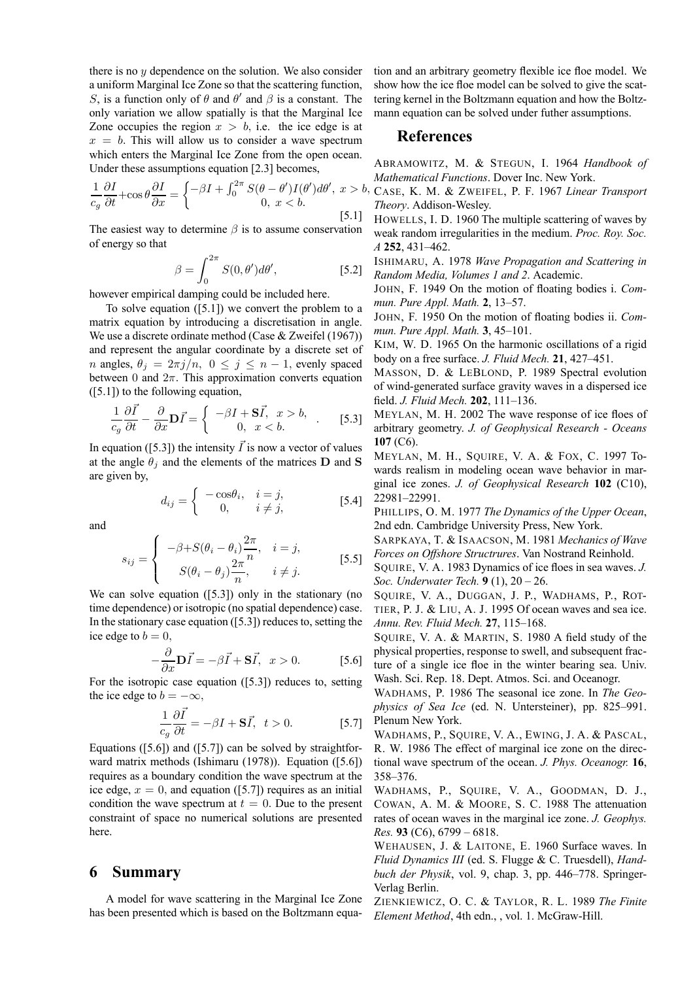there is no  $y$  dependence on the solution. We also consider a uniform Marginal Ice Zone so that the scattering function, S, is a function only of  $\theta$  and  $\theta'$  and  $\beta$  is a constant. The only variation we allow spatially is that the Marginal Ice Zone occupies the region  $x > b$ , i.e. the ice edge is at  $x = b$ . This will allow us to consider a wave spectrum which enters the Marginal Ice Zone from the open ocean. Under these assumptions equation [2.3] becomes,

$$
\frac{1}{c_g} \frac{\partial I}{\partial t} + \cos \theta \frac{\partial I}{\partial x} = \begin{cases} -\beta I + \int_0^{2\pi} S(\theta - \theta') I(\theta') d\theta', & x > b, \\ 0, & x < b. \end{cases}
$$
 [5.1]

The easiest way to determine  $\beta$  is to assume conservation of energy so that

$$
\beta = \int_0^{2\pi} S(0, \theta') d\theta', \qquad [5.2]
$$

however empirical damping could be included here.

To solve equation  $([5.1])$  we convert the problem to a matrix equation by introducing a discretisation in angle. We use a discrete ordinate method (Case & Zweifel (1967)) and represent the angular coordinate by a discrete set of *n* angles,  $\theta_j = 2\pi j/n$ ,  $0 \le j \le n-1$ , evenly spaced between 0 and  $2\pi$ . This approximation converts equation ([5.1]) to the following equation,

$$
\frac{1}{c_g} \frac{\partial \vec{I}}{\partial t} - \frac{\partial}{\partial x} \mathbf{D} \vec{I} = \begin{cases} -\beta I + \mathbf{S} \vec{I}, & x > b, \\ 0, & x < b. \end{cases}
$$
 [5.3]

In equation ([5.3]) the intensity  $\overrightarrow{I}$  is now a vector of values at the angle  $\theta_i$  and the elements of the matrices **D** and **S** are given by,

$$
d_{ij} = \begin{cases} -\cos\theta_i, & i = j, \\ 0, & i \neq j, \end{cases}
$$
 [5.4]

and

$$
s_{ij} = \begin{cases} -\beta + S(\theta_i - \theta_i) \frac{2\pi}{n}, & i = j, \\ S(\theta_i - \theta_j) \frac{2\pi}{n}, & i \neq j. \end{cases}
$$
 [5.5]

We can solve equation ([5.3]) only in the stationary (no time dependence) or isotropic (no spatial dependence) case. In the stationary case equation ([5.3]) reduces to, setting the ice edge to  $b = 0$ ,

$$
-\frac{\partial}{\partial x}\mathbf{D}\vec{I} = -\beta \vec{I} + \mathbf{S}\vec{I}, \ \ x > 0. \tag{5.6}
$$

For the isotropic case equation ([5.3]) reduces to, setting the ice edge to  $b = -\infty$ ,

$$
\frac{1}{c_g} \frac{\partial \vec{I}}{\partial t} = -\beta I + \mathbf{S}\vec{I}, \ t > 0.
$$
 [5.7]

Equations ( $[5.6]$ ) and ( $[5.7]$ ) can be solved by straightforward matrix methods (Ishimaru (1978)). Equation ([5.6]) requires as a boundary condition the wave spectrum at the ice edge,  $x = 0$ , and equation ([5.7]) requires as an initial condition the wave spectrum at  $t = 0$ . Due to the present constraint of space no numerical solutions are presented here.

### **6 Summary**

A model for wave scattering in the Marginal Ice Zone has been presented which is based on the Boltzmann equation and an arbitrary geometry flexible ice floe model. We show how the ice floe model can be solved to give the scattering kernel in the Boltzmann equation and how the Boltzmann equation can be solved under futher assumptions.

### **References**

ABRAMOWITZ, M. & STEGUN, I. 1964 *Handbook of Mathematical Functions*. Dover Inc. New York.

CASE, K. M. & ZWEIFEL, P. F. 1967 *Linear Transport Theory*. Addison-Wesley.

HOWELLS, I. D. 1960 The multiple scattering of waves by weak random irregularities in the medium. *Proc. Roy. Soc. A* **252**, 431–462.

ISHIMARU, A. 1978 *Wave Propagation and Scattering in Random Media, Volumes 1 and 2*. Academic.

JOHN, F. 1949 On the motion of floating bodies i. *Commun. Pure Appl. Math.* **2**, 13–57.

JOHN, F. 1950 On the motion of floating bodies ii. *Commun. Pure Appl. Math.* **3**, 45–101.

KIM, W. D. 1965 On the harmonic oscillations of a rigid body on a free surface. *J. Fluid Mech.* **21**, 427–451.

MASSON, D. & LEBLOND, P. 1989 Spectral evolution of wind-generated surface gravity waves in a dispersed ice field. *J. Fluid Mech.* **202**, 111–136.

MEYLAN, M. H. 2002 The wave response of ice floes of arbitrary geometry. *J. of Geophysical Research - Oceans* **107** (C6).

MEYLAN, M. H., SQUIRE, V. A. & FOX, C. 1997 Towards realism in modeling ocean wave behavior in marginal ice zones. *J. of Geophysical Research* **102** (C10), 22981–22991.

PHILLIPS, O. M. 1977 *The Dynamics of the Upper Ocean*, 2nd edn. Cambridge University Press, New York.

SARPKAYA, T. & ISAACSON, M. 1981 *Mechanics of Wave Forces on Offshore Structrures*. Van Nostrand Reinhold.

SQUIRE, V. A. 1983 Dynamics of ice floes in sea waves. *J. Soc. Underwater Tech.* **9** (1), 20 – 26.

SQUIRE, V. A., DUGGAN, J. P., WADHAMS, P., ROT-TIER, P. J. & LIU, A. J. 1995 Of ocean waves and sea ice. *Annu. Rev. Fluid Mech.* **27**, 115–168.

SQUIRE, V. A. & MARTIN, S. 1980 A field study of the physical properties, response to swell, and subsequent fracture of a single ice floe in the winter bearing sea. Univ. Wash. Sci. Rep. 18. Dept. Atmos. Sci. and Oceanogr.

WADHAMS, P. 1986 The seasonal ice zone. In *The Geophysics of Sea Ice* (ed. N. Untersteiner), pp. 825–991. Plenum New York.

WADHAMS, P., SQUIRE, V. A., EWING, J. A. & PASCAL, R. W. 1986 The effect of marginal ice zone on the directional wave spectrum of the ocean. *J. Phys. Oceanogr.* **16**, 358–376.

WADHAMS, P., SQUIRE, V. A., GOODMAN, D. J., COWAN, A. M. & MOORE, S. C. 1988 The attenuation rates of ocean waves in the marginal ice zone. *J. Geophys. Res.* **93** (C6), 6799 – 6818.

WEHAUSEN, J. & LAITONE, E. 1960 Surface waves. In *Fluid Dynamics III* (ed. S. Flugge & C. Truesdell), *Handbuch der Physik*, vol. 9, chap. 3, pp. 446–778. Springer-Verlag Berlin.

ZIENKIEWICZ, O. C. & TAYLOR, R. L. 1989 *The Finite Element Method*, 4th edn., , vol. 1. McGraw-Hill.